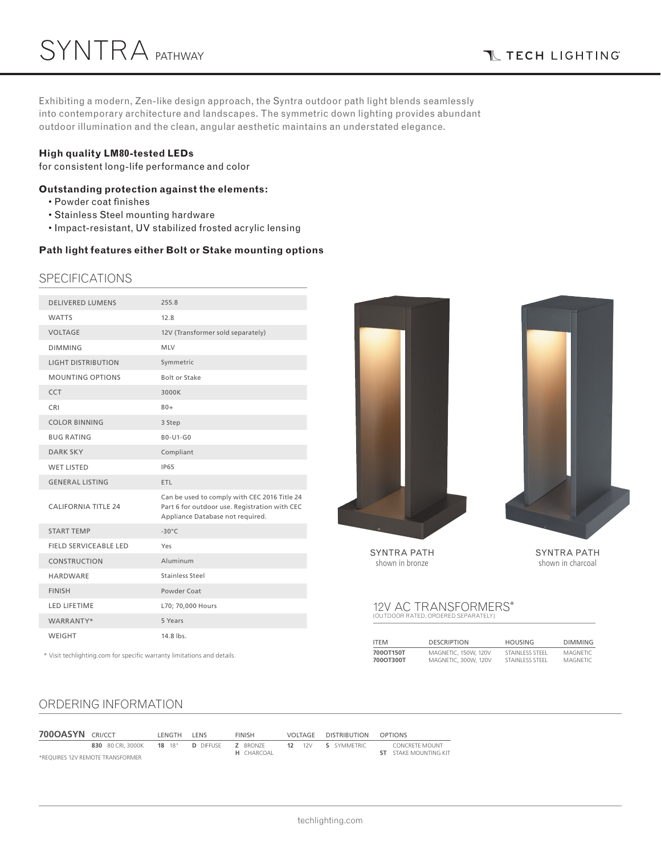Exhibiting a modern, Zen-like design approach, the Syntra outdoor path light blends seamlessly into contemporary architecture and landscapes. The symmetric down lighting provides abundant outdoor illumination and the clean, angular aesthetic maintains an understated elegance.

### **High quality LM80-tested LEDs**

for consistent long-life performance and color

### **Outstanding protection against the elements:**

- Powder coat finishes
- Stainless Steel mounting hardware
- Impact-resistant, UV stabilized frosted acrylic lensing

### **Path light features either Bolt or Stake mounting options**

### SPECIFICATIONS

| <b>DELIVERED LUMENS</b>    | 255.8                                                                                                                             |
|----------------------------|-----------------------------------------------------------------------------------------------------------------------------------|
| <b>WATTS</b>               | 12.8                                                                                                                              |
| <b>VOLTAGE</b>             | 12V (Transformer sold separately)                                                                                                 |
| <b>DIMMING</b>             | <b>MLV</b>                                                                                                                        |
| <b>LIGHT DISTRIBUTION</b>  | Symmetric                                                                                                                         |
| <b>MOUNTING OPTIONS</b>    | <b>Bolt or Stake</b>                                                                                                              |
| <b>CCT</b>                 | 3000K                                                                                                                             |
| <b>CRI</b>                 | $80+$                                                                                                                             |
| <b>COLOR BINNING</b>       | 3 Step                                                                                                                            |
| <b>BUG RATING</b>          | B0-U1-G0                                                                                                                          |
| <b>DARK SKY</b>            | Compliant                                                                                                                         |
| <b>WET LISTED</b>          | <b>IP65</b>                                                                                                                       |
| <b>GENERAL LISTING</b>     | ETL                                                                                                                               |
| <b>CALIFORNIA TITLE 24</b> | Can be used to comply with CEC 2016 Title 24<br>Part 6 for outdoor use. Registration with CEC<br>Appliance Database not required. |
| <b>START TEMP</b>          | $-30^{\circ}C$                                                                                                                    |
| FIELD SERVICEABLE LED      | Yes                                                                                                                               |
| <b>CONSTRUCTION</b>        | Aluminum                                                                                                                          |
| <b>HARDWARE</b>            | Stainless Steel                                                                                                                   |
| <b>FINISH</b>              | Powder Coat                                                                                                                       |
| <b>LED LIFETIME</b>        | L70; 70,000 Hours                                                                                                                 |
| WARRANTY*                  | 5 Years                                                                                                                           |
| WEIGHT                     | 14.8 lbs.                                                                                                                         |
|                            |                                                                                                                                   |

\* Visit techlighting.com for specific warranty limitations and details.



SYNTRA PATH shown in bronze

SYNTRA PATH shown in charcoal

# 12V AC TRANSFORMERS\* (OUTDOOR RATED, ORDERED SEPARATELY)

| <b>ITEM</b> | <b>DESCRIPTION</b>          | <b>HOUSING</b>   | <b>DIMMING</b>  |
|-------------|-----------------------------|------------------|-----------------|
| 700OT150T   | <b>MAGNETIC. 150W. 120V</b> | STAINI FSS STEFI | MAGNETIC        |
| 700OT300T   | MAGNETIC, 300W, 120V        | STAINI FSS STEFL | <b>MAGNETIC</b> |

# ORDERING INFORMATION

| <b>700OASYN CRI/CCT</b> |                                    | . FNGTH | I FNS | <b>FINISH</b>     | VOLTAGE | <b>DISTRIBUTION</b> | OPTIONS                      |
|-------------------------|------------------------------------|---------|-------|-------------------|---------|---------------------|------------------------------|
|                         | 830 80 CRI. 3000K 18 18" D DIFFUSE |         |       | <b>Z</b> BRONZE   |         | 12 12V S SYMMETRIC  | CONCRETE MOUNT               |
|                         | *REOUIRES 12V REMOTE TRANSFORMER   |         |       | <b>H</b> CHARCOAL |         |                     | <b>ST</b> STAKE MOUNTING KIT |